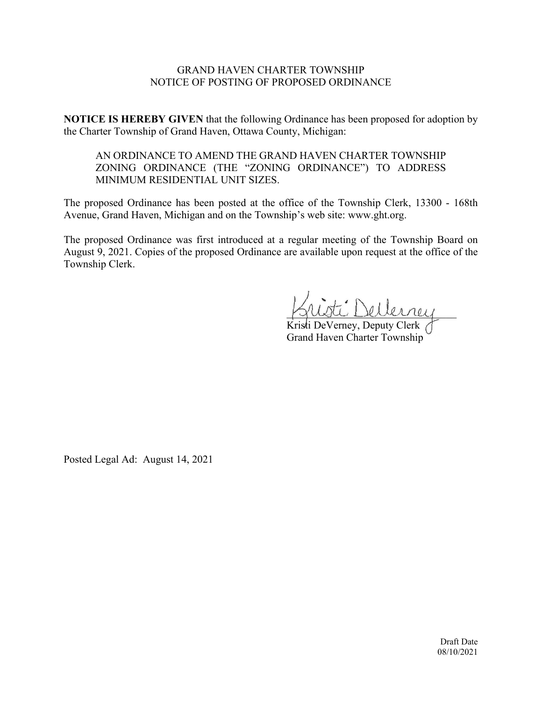## GRAND HAVEN CHARTER TOWNSHIP NOTICE OF POSTING OF PROPOSED ORDINANCE

**NOTICE IS HEREBY GIVEN** that the following Ordinance has been proposed for adoption by the Charter Township of Grand Haven, Ottawa County, Michigan:

# AN ORDINANCE TO AMEND THE GRAND HAVEN CHARTER TOWNSHIP ZONING ORDINANCE (THE "ZONING ORDINANCE") TO ADDRESS MINIMUM RESIDENTIAL UNIT SIZES.

The proposed Ordinance has been posted at the office of the Township Clerk, 13300 - 168th Avenue, Grand Haven, Michigan and on the Township's web site: www.ght.org.

The proposed Ordinance was first introduced at a regular meeting of the Township Board on August 9, 2021. Copies of the proposed Ordinance are available upon request at the office of the Township Clerk.

\_\_\_\_\_\_\_\_\_\_\_\_\_\_\_\_\_\_\_\_\_\_\_\_\_\_\_\_\_\_\_\_

Kristi DeVerney, Deputy Clerk Grand Haven Charter Township

Posted Legal Ad: August 14, 2021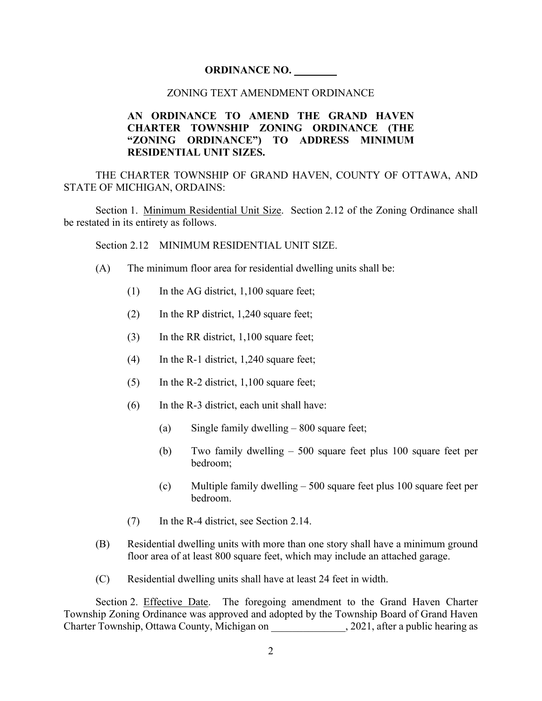#### **ORDINANCE NO. \_\_\_\_\_\_\_\_**

#### ZONING TEXT AMENDMENT ORDINANCE

## **AN ORDINANCE TO AMEND THE GRAND HAVEN CHARTER TOWNSHIP ZONING ORDINANCE (THE "ZONING ORDINANCE") TO ADDRESS MINIMUM RESIDENTIAL UNIT SIZES.**

THE CHARTER TOWNSHIP OF GRAND HAVEN, COUNTY OF OTTAWA, AND STATE OF MICHIGAN, ORDAINS:

Section 1. Minimum Residential Unit Size. Section 2.12 of the Zoning Ordinance shall be restated in its entirety as follows.

Section 2.12 MINIMUM RESIDENTIAL UNIT SIZE.

- (A) The minimum floor area for residential dwelling units shall be:
	- $(1)$  In the AG district, 1,100 square feet;
	- (2) In the RP district, 1,240 square feet;
	- (3) In the RR district, 1,100 square feet;
	- (4) In the R-1 district, 1,240 square feet;
	- (5) In the R-2 district, 1,100 square feet;
	- (6) In the R-3 district, each unit shall have:
		- (a) Single family dwelling 800 square feet;
		- (b) Two family dwelling 500 square feet plus 100 square feet per bedroom;
		- (c) Multiple family dwelling 500 square feet plus 100 square feet per bedroom.
	- (7) In the R-4 district, see Section 2.14.
- (B) Residential dwelling units with more than one story shall have a minimum ground floor area of at least 800 square feet, which may include an attached garage.
- (C) Residential dwelling units shall have at least 24 feet in width.

Section 2. Effective Date. The foregoing amendment to the Grand Haven Charter Township Zoning Ordinance was approved and adopted by the Township Board of Grand Haven Charter Township, Ottawa County, Michigan on 2021, after a public hearing as